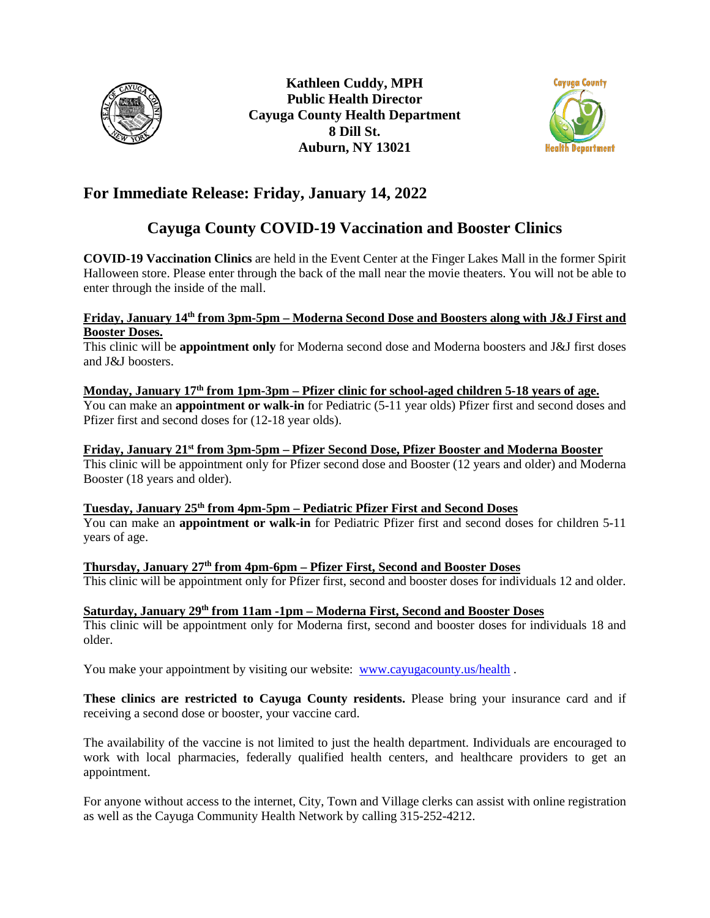



## **For Immediate Release: Friday, January 14, 2022**

# **Cayuga County COVID-19 Vaccination and Booster Clinics**

**COVID-19 Vaccination Clinics** are held in the Event Center at the Finger Lakes Mall in the former Spirit Halloween store. Please enter through the back of the mall near the movie theaters. You will not be able to enter through the inside of the mall.

#### **Friday, January 14th from 3pm-5pm – Moderna Second Dose and Boosters along with J&J First and Booster Doses.**

This clinic will be **appointment only** for Moderna second dose and Moderna boosters and J&J first doses and J&J boosters.

#### **Monday, January 17th from 1pm-3pm – Pfizer clinic for school-aged children 5-18 years of age.**

You can make an **appointment or walk-in** for Pediatric (5-11 year olds) Pfizer first and second doses and Pfizer first and second doses for (12-18 year olds).

#### **Friday, January 21st from 3pm-5pm – Pfizer Second Dose, Pfizer Booster and Moderna Booster**

This clinic will be appointment only for Pfizer second dose and Booster (12 years and older) and Moderna Booster (18 years and older).

### **Tuesday, January 25th from 4pm-5pm – Pediatric Pfizer First and Second Doses**

You can make an **appointment or walk-in** for Pediatric Pfizer first and second doses for children 5-11 years of age.

**Thursday, January 27th from 4pm-6pm – Pfizer First, Second and Booster Doses**  This clinic will be appointment only for Pfizer first, second and booster doses for individuals 12 and older.

### **Saturday, January 29th from 11am -1pm – Moderna First, Second and Booster Doses**

This clinic will be appointment only for Moderna first, second and booster doses for individuals 18 and older.

You make your appointment by visiting our website: [www.cayugacounty.us/health](http://www.cayugacounty.us/health).

**These clinics are restricted to Cayuga County residents.** Please bring your insurance card and if receiving a second dose or booster, your vaccine card.

The availability of the vaccine is not limited to just the health department. Individuals are encouraged to work with local pharmacies, federally qualified health centers, and healthcare providers to get an appointment.

For anyone without access to the internet, City, Town and Village clerks can assist with online registration as well as the Cayuga Community Health Network by calling 315-252-4212.